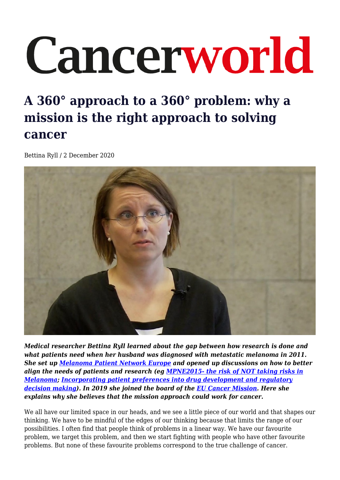## Cancerworld

## **A 360° approach to a 360° problem: why a mission is the right approach to solving cancer**

Bettina Ryll / 2 December 2020



*Medical researcher Bettina Ryll learned about the gap between how research is done and what patients need when her husband was diagnosed with metastatic melanoma in 2011. She set up [Melanoma Patient Network Europe](http://www.melanomapatientnetworkeu.org/) and opened up discussions on how to better align the needs of patients and research (eg [MPNE2015- the risk of NOT taking risks in](https://youtu.be/VIreDdQG4kc) [Melanoma;](https://youtu.be/VIreDdQG4kc) [Incorporating patient preferences into drug development and regulatory](https://pubmed.ncbi.nlm.nih.gov/26715217/) [decision making\)](https://pubmed.ncbi.nlm.nih.gov/26715217/). In 2019 she joined the board of the [EU Cancer Mission](https://ec.europa.eu/info/publications/conquering-cancer-mission-possible_en). Here she explains why she believes that the mission approach could work for cancer.* 

We all have our limited space in our heads, and we see a little piece of our world and that shapes our thinking. We have to be mindful of the edges of our thinking because that limits the range of our possibilities. I often find that people think of problems in a linear way. We have our favourite problem, we target this problem, and then we start fighting with people who have other favourite problems. But none of these favourite problems correspond to the true challenge of cancer.